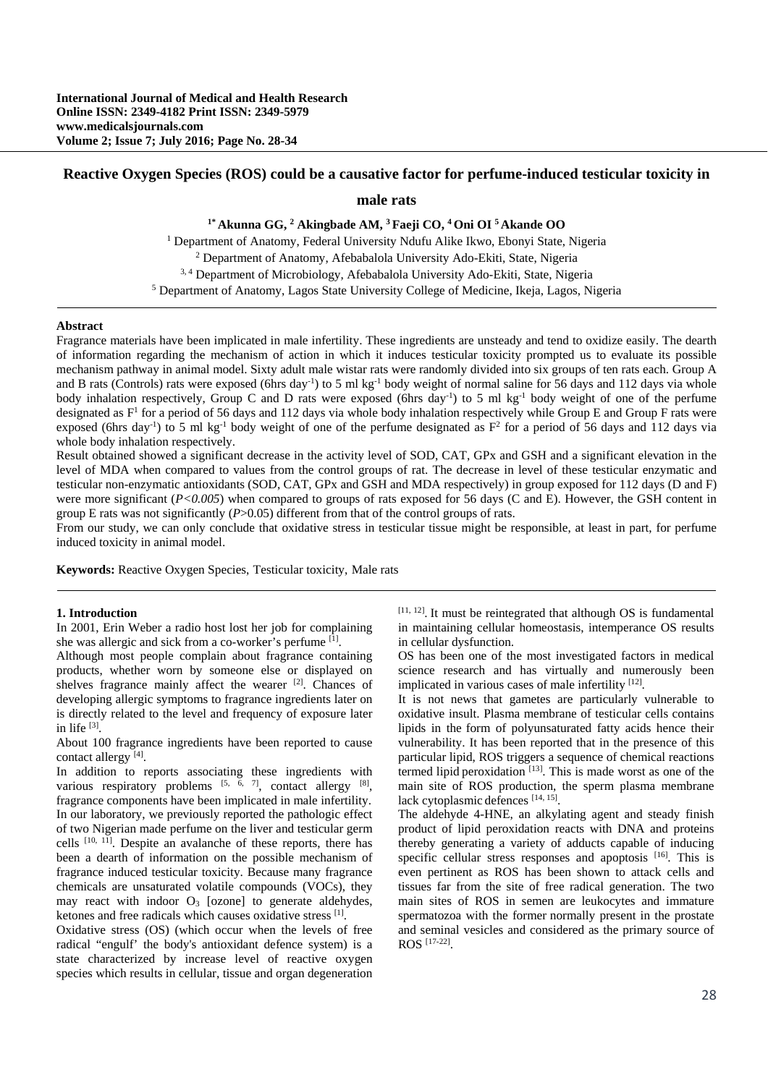# **Reactive Oxygen Species (ROS) could be a causative factor for perfume-induced testicular toxicity in**

# **male rats**

**1\* Akunna GG, 2 Akingbade AM, 3 Faeji CO, 4 Oni OI 5 Akande OO** 

<sup>1</sup> Department of Anatomy, Federal University Ndufu Alike Ikwo, Ebonyi State, Nigeria <sup>2</sup> Department of Anatomy, Afebabalola University Ado-Ekiti, State, Nigeria Department of Anatomy, Afebabalola University Ado-Ekiti, State, Nigeria 3, 4 Department of Microbiology, Afebabalola University Ado-Ekiti, State, Nigeria 5

Department of Anatomy, Lagos State University College of Medicine, Ikeja, Lagos, Nigeria

### **Abstract**

Fragrance materials have been implicated in male infertility. These ingredients are unsteady and tend to oxidize easily. The dearth of information regarding the mechanism of action in which it induces testicular toxicity prompted us to evaluate its possible mechanism pathway in animal model. Sixty adult male wistar rats were randomly divided into six groups of ten rats each. Group A and B rats (Controls) rats were exposed (6hrs day<sup>-1</sup>) to 5 ml kg<sup>-1</sup> body weight of normal saline for 56 days and 112 days via whole body inhalation respectively, Group C and D rats were exposed (6hrs day<sup>-1</sup>) to 5 ml kg<sup>-1</sup> body weight of one of the perfume designated as  $F<sup>1</sup>$  for a period of 56 days and 112 days via whole body inhalation respectively while Group E and Group F rats were exposed (6hrs day<sup>-1</sup>) to 5 ml kg<sup>-1</sup> body weight of one of the perfume designated as  $F^2$  for a period of 56 days and 112 days via whole body inhalation respectively.

Result obtained showed a significant decrease in the activity level of SOD, CAT, GPx and GSH and a significant elevation in the level of MDA when compared to values from the control groups of rat. The decrease in level of these testicular enzymatic and testicular non-enzymatic antioxidants (SOD, CAT, GPx and GSH and MDA respectively) in group exposed for 112 days (D and F) were more significant  $(P<0.005)$  when compared to groups of rats exposed for 56 days (C and E). However, the GSH content in group E rats was not significantly (*P*>0.05) different from that of the control groups of rats.

From our study, we can only conclude that oxidative stress in testicular tissue might be responsible, at least in part, for perfume induced toxicity in animal model.

**Keywords:** Reactive Oxygen Species, Testicular toxicity, Male rats

# **1. Introduction**

In 2001, Erin Weber a radio host lost her job for complaining she was allergic and sick from a co-worker's perfume [1].

Although most people complain about fragrance containing products, whether worn by someone else or displayed on shelves fragrance mainly affect the wearer  $[2]$ . Chances of developing allergic symptoms to fragrance ingredients later on is directly related to the level and frequency of exposure later in life [3].

About 100 fragrance ingredients have been reported to cause contact allergy [4].

In addition to reports associating these ingredients with various respiratory problems  $[5, 6, 7]$ , contact allergy  $[8]$ , fragrance components have been implicated in male infertility. In our laboratory, we previously reported the pathologic effect of two Nigerian made perfume on the liver and testicular germ cells [10, 11]. Despite an avalanche of these reports, there has been a dearth of information on the possible mechanism of fragrance induced testicular toxicity. Because many fragrance chemicals are unsaturated volatile compounds (VOCs), they may react with indoor  $O_3$  [ozone] to generate aldehydes, ketones and free radicals which causes oxidative stress [1].

Oxidative stress (OS) (which occur when the levels of free radical "engulf' the body's antioxidant defence system) is a state characterized by increase level of reactive oxygen species which results in cellular, tissue and organ degeneration

[11, 12]. It must be reintegrated that although OS is fundamental in maintaining cellular homeostasis, intemperance OS results in cellular dysfunction.

OS has been one of the most investigated factors in medical science research and has virtually and numerously been implicated in various cases of male infertility  $[12]$ .

It is not news that gametes are particularly vulnerable to oxidative insult. Plasma membrane of testicular cells contains lipids in the form of polyunsaturated fatty acids hence their vulnerability. It has been reported that in the presence of this particular lipid, ROS triggers a sequence of chemical reactions termed lipid peroxidation<sup>[13]</sup>. This is made worst as one of the main site of ROS production, the sperm plasma membrane lack cytoplasmic defences [14, 15].

The aldehyde 4-HNE, an alkylating agent and steady finish product of lipid peroxidation reacts with DNA and proteins thereby generating a variety of adducts capable of inducing specific cellular stress responses and apoptosis <sup>[16]</sup>. This is even pertinent as ROS has been shown to attack cells and tissues far from the site of free radical generation. The two main sites of ROS in semen are leukocytes and immature spermatozoa with the former normally present in the prostate and seminal vesicles and considered as the primary source of ROS [17-22].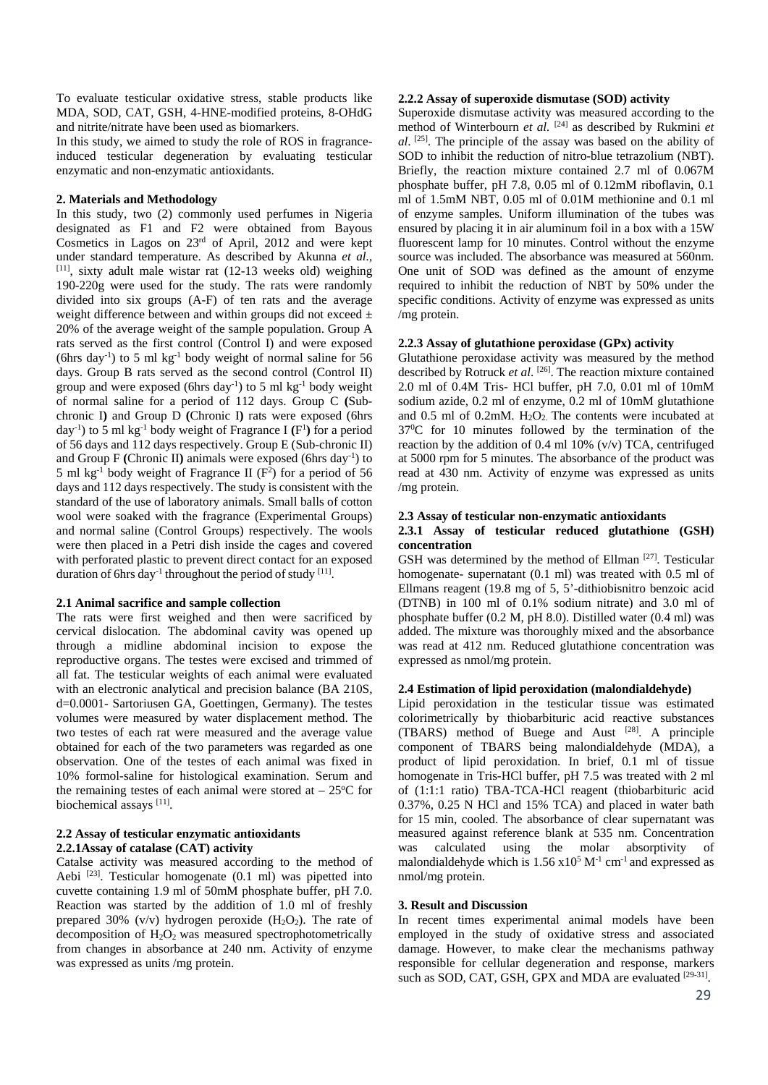To evaluate testicular oxidative stress, stable products like MDA, SOD, CAT, GSH, 4-HNE-modified proteins, 8-OHdG and nitrite/nitrate have been used as biomarkers.

In this study, we aimed to study the role of ROS in fragranceinduced testicular degeneration by evaluating testicular enzymatic and non-enzymatic antioxidants.

### **2. Materials and Methodology**

In this study, two (2) commonly used perfumes in Nigeria designated as F1 and F2 were obtained from Bayous Cosmetics in Lagos on 23rd of April, 2012 and were kept under standard temperature. As described by Akunna *et al.*, [11], sixty adult male wistar rat (12-13 weeks old) weighing 190-220g were used for the study. The rats were randomly divided into six groups (A-F) of ten rats and the average weight difference between and within groups did not exceed  $\pm$ 20% of the average weight of the sample population. Group A rats served as the first control (Control I) and were exposed (6hrs day<sup>-1</sup>) to 5 ml kg<sup>-1</sup> body weight of normal saline for 56 days. Group B rats served as the second control (Control II) group and were exposed (6hrs day<sup>-1</sup>) to 5 ml kg<sup>-1</sup> body weight of normal saline for a period of 112 days. Group C **(**Subchronic I**)** and Group D **(**Chronic I**)** rats were exposed (6hrs day<sup>-1</sup>) to 5 ml kg<sup>-1</sup> body weight of Fragrance I  $(F<sup>1</sup>)$  for a period of 56 days and 112 days respectively. Group E (Sub-chronic II) and Group F **(**Chronic II**)** animals were exposed (6hrs day-1) to 5 ml kg<sup>-1</sup> body weight of Fragrance II ( $F<sup>2</sup>$ ) for a period of 56 days and 112 days respectively. The study is consistent with the standard of the use of laboratory animals. Small balls of cotton wool were soaked with the fragrance (Experimental Groups) and normal saline (Control Groups) respectively. The wools were then placed in a Petri dish inside the cages and covered with perforated plastic to prevent direct contact for an exposed duration of 6hrs day<sup>-1</sup> throughout the period of study  $[11]$ .

### **2.1 Animal sacrifice and sample collection**

The rats were first weighed and then were sacrificed by cervical dislocation. The abdominal cavity was opened up through a midline abdominal incision to expose the reproductive organs. The testes were excised and trimmed of all fat. The testicular weights of each animal were evaluated with an electronic analytical and precision balance (BA 210S, d=0.0001- Sartoriusen GA, Goettingen, Germany). The testes volumes were measured by water displacement method. The two testes of each rat were measured and the average value obtained for each of the two parameters was regarded as one observation. One of the testes of each animal was fixed in 10% formol-saline for histological examination. Serum and the remaining testes of each animal were stored at  $-25^{\circ}$ C for biochemical assays [11].

# **2.2 Assay of testicular enzymatic antioxidants 2.2.1Assay of catalase (CAT) activity**

Catalse activity was measured according to the method of Aebi<sup>[23]</sup>. Testicular homogenate (0.1 ml) was pipetted into cuvette containing 1.9 ml of 50mM phosphate buffer, pH 7.0. Reaction was started by the addition of 1.0 ml of freshly prepared 30% (v/v) hydrogen peroxide  $(H_2O_2)$ . The rate of decomposition of  $H_2O_2$  was measured spectrophotometrically from changes in absorbance at 240 nm. Activity of enzyme was expressed as units /mg protein.

# **2.2.2 Assay of superoxide dismutase (SOD) activity**

Superoxide dismutase activity was measured according to the method of Winterbourn *et al.* [24] as described by Rukmini *et al*. [25]. The principle of the assay was based on the ability of SOD to inhibit the reduction of nitro-blue tetrazolium (NBT). Briefly, the reaction mixture contained 2.7 ml of 0.067M phosphate buffer, pH 7.8, 0.05 ml of 0.12mM riboflavin, 0.1 ml of 1.5mM NBT, 0.05 ml of 0.01M methionine and 0.1 ml of enzyme samples. Uniform illumination of the tubes was ensured by placing it in air aluminum foil in a box with a 15W fluorescent lamp for 10 minutes. Control without the enzyme source was included. The absorbance was measured at 560nm. One unit of SOD was defined as the amount of enzyme required to inhibit the reduction of NBT by 50% under the specific conditions. Activity of enzyme was expressed as units /mg protein.

### **2.2.3 Assay of glutathione peroxidase (GPx) activity**

Glutathione peroxidase activity was measured by the method described by Rotruck *et al*. [26]. The reaction mixture contained 2.0 ml of 0.4M Tris- HCl buffer, pH 7.0, 0.01 ml of 10mM sodium azide, 0.2 ml of enzyme, 0.2 ml of 10mM glutathione and  $0.5$  ml of  $0.2$ mM.  $H<sub>2</sub>O<sub>2</sub>$ . The contents were incubated at 370 C for 10 minutes followed by the termination of the reaction by the addition of 0.4 ml 10% (v/v) TCA, centrifuged at 5000 rpm for 5 minutes. The absorbance of the product was read at 430 nm. Activity of enzyme was expressed as units /mg protein.

#### **2.3 Assay of testicular non-enzymatic antioxidants**

# **2.3.1 Assay of testicular reduced glutathione (GSH) concentration**

GSH was determined by the method of Ellman [27]. Testicular homogenate- supernatant (0.1 ml) was treated with 0.5 ml of Ellmans reagent (19.8 mg of 5, 5'-dithiobisnitro benzoic acid (DTNB) in 100 ml of 0.1% sodium nitrate) and 3.0 ml of phosphate buffer (0.2 M, pH 8.0). Distilled water (0.4 ml) was added. The mixture was thoroughly mixed and the absorbance was read at 412 nm. Reduced glutathione concentration was expressed as nmol/mg protein.

#### **2.4 Estimation of lipid peroxidation (malondialdehyde)**

Lipid peroxidation in the testicular tissue was estimated colorimetrically by thiobarbituric acid reactive substances (TBARS) method of Buege and Aust  $[28]$ . A principle component of TBARS being malondialdehyde (MDA), a product of lipid peroxidation. In brief, 0.1 ml of tissue homogenate in Tris-HCl buffer, pH 7.5 was treated with 2 ml of (1:1:1 ratio) TBA-TCA-HCl reagent (thiobarbituric acid 0.37%, 0.25 N HCl and 15% TCA) and placed in water bath for 15 min, cooled. The absorbance of clear supernatant was measured against reference blank at 535 nm. Concentration was calculated using the molar absorptivity of malondialdehyde which is  $1.56 \times 10^5$  M<sup>-1</sup> cm<sup>-1</sup> and expressed as nmol/mg protein.

#### **3. Result and Discussion**

In recent times experimental animal models have been employed in the study of oxidative stress and associated damage. However, to make clear the mechanisms pathway responsible for cellular degeneration and response, markers such as SOD, CAT, GSH, GPX and MDA are evaluated [29-31].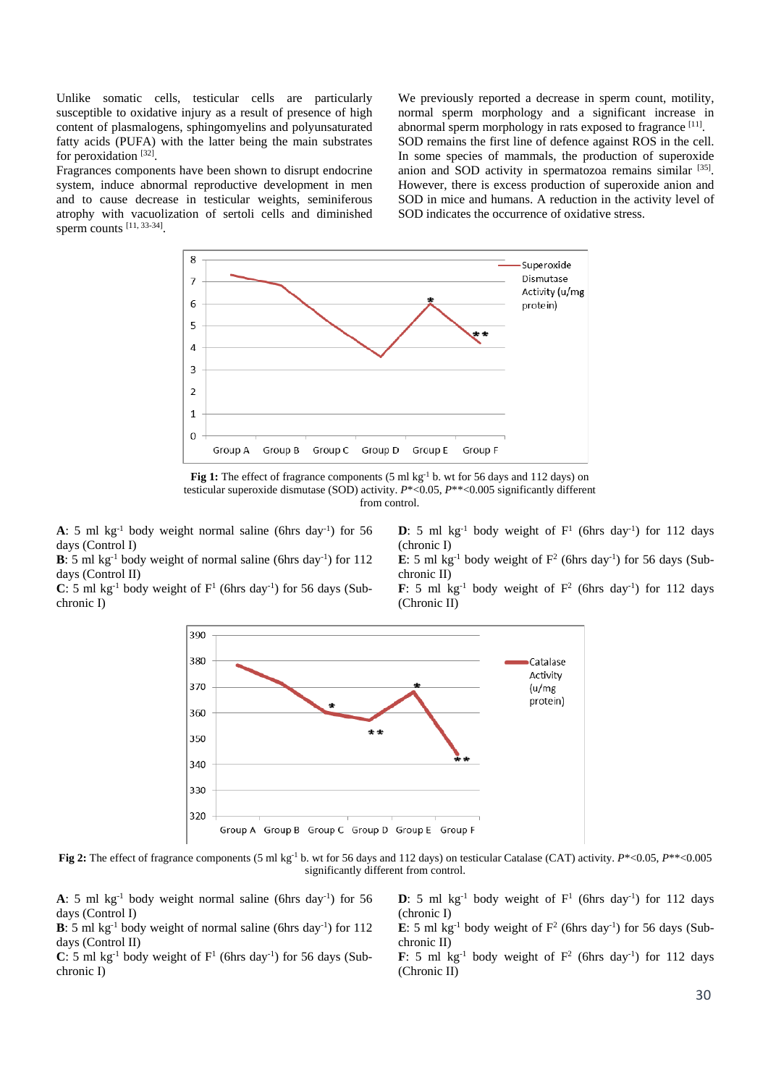Unlike somatic cells, testicular cells are particularly susceptible to oxidative injury as a result of presence of high content of plasmalogens, sphingomyelins and polyunsaturated fatty acids (PUFA) with the latter being the main substrates for peroxidation [32].

Fragrances components have been shown to disrupt endocrine system, induce abnormal reproductive development in men and to cause decrease in testicular weights, seminiferous atrophy with vacuolization of sertoli cells and diminished sperm counts [11, 33-34].

We previously reported a decrease in sperm count, motility, normal sperm morphology and a significant increase in abnormal sperm morphology in rats exposed to fragrance [11]. SOD remains the first line of defence against ROS in the cell. In some species of mammals, the production of superoxide anion and SOD activity in spermatozoa remains similar [35]. However, there is excess production of superoxide anion and SOD in mice and humans. A reduction in the activity level of SOD indicates the occurrence of oxidative stress.



**Fig 1:** The effect of fragrance components (5 ml kg<sup>-1</sup> b. wt for 56 days and 112 days) on testicular superoxide dismutase (SOD) activity. *P*\*<0.05, *P*\*\*<0.005 significantly different from control.

**A**: 5 ml kg<sup>-1</sup> body weight normal saline (6hrs day<sup>-1</sup>) for 56 days (Control I)

**B**: 5 ml kg<sup>-1</sup> body weight of normal saline (6hrs day<sup>-1</sup>) for  $112$ days (Control II)

 $C: 5$  ml kg<sup>-1</sup> body weight of  $F<sup>1</sup>$  (6hrs day<sup>-1</sup>) for 56 days (Subchronic I)

**D**: 5 ml  $kg^{-1}$  body weight of  $F^1$  (6hrs day<sup>-1</sup>) for 112 days (chronic I)

**E**: 5 ml kg<sup>-1</sup> body weight of  $F^2$  (6hrs day<sup>-1</sup>) for 56 days (Subchronic II)

**F**: 5 ml kg<sup>-1</sup> body weight of  $F^2$  (6hrs day<sup>-1</sup>) for 112 days (Chronic II)



**Fig 2:** The effect of fragrance components (5 ml kg-1 b. wt for 56 days and 112 days) on testicular Catalase (CAT) activity. *P*\*<0.05, *P*\*\*<0.005 significantly different from control.

**A**: 5 ml kg<sup>-1</sup> body weight normal saline (6hrs day<sup>-1</sup>) for 56 days (Control I)

**B**: 5 ml kg<sup>-1</sup> body weight of normal saline (6hrs day<sup>-1</sup>) for 112 days (Control II)

 $C: 5$  ml kg<sup>-1</sup> body weight of  $F<sup>1</sup>$  (6hrs day<sup>-1</sup>) for 56 days (Subchronic I)

**D**: 5 ml kg<sup>-1</sup> body weight of  $F<sup>1</sup>$  (6hrs day<sup>-1</sup>) for 112 days (chronic I)

**E**: 5 ml kg<sup>-1</sup> body weight of  $F^2$  (6hrs day<sup>-1</sup>) for 56 days (Subchronic II)

**F**: 5 ml kg<sup>-1</sup> body weight of  $F^2$  (6hrs day<sup>-1</sup>) for 112 days (Chronic II)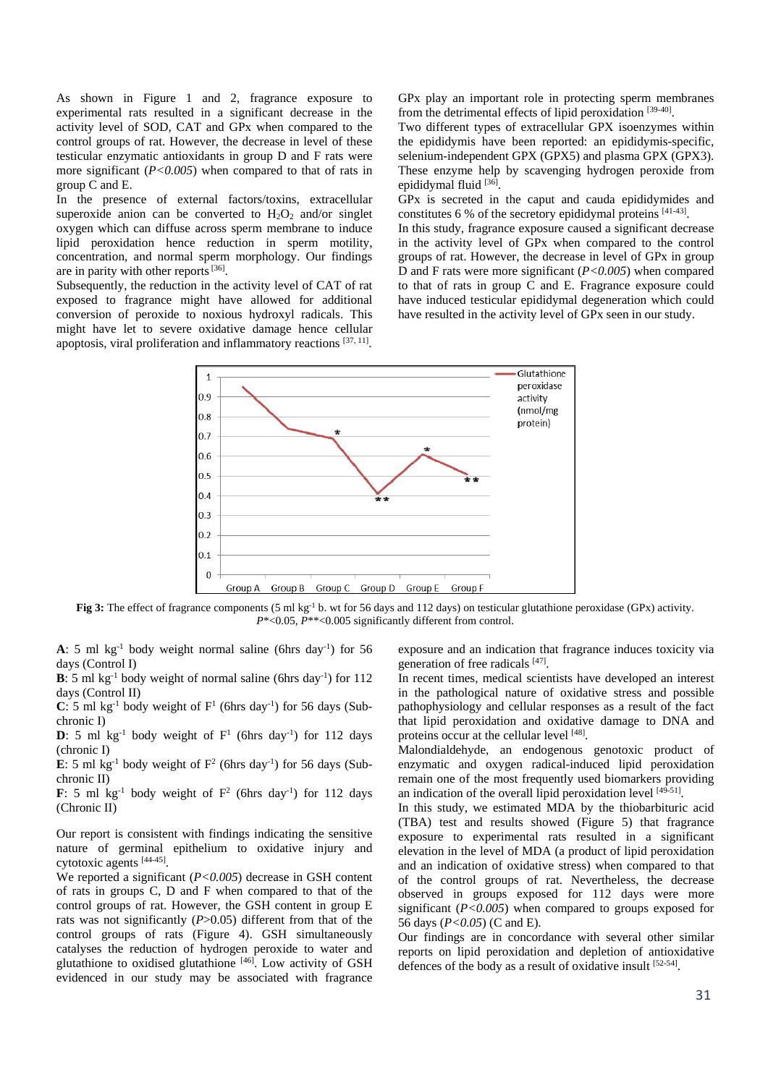As shown in Figure 1 and 2, fragrance exposure to experimental rats resulted in a significant decrease in the activity level of SOD, CAT and GPx when compared to the control groups of rat. However, the decrease in level of these testicular enzymatic antioxidants in group D and F rats were more significant ( $P < 0.005$ ) when compared to that of rats in group C and E.

In the presence of external factors/toxins, extracellular superoxide anion can be converted to  $H_2O_2$  and/or singlet oxygen which can diffuse across sperm membrane to induce lipid peroxidation hence reduction in sperm motility, concentration, and normal sperm morphology. Our findings are in parity with other reports [36].

Subsequently, the reduction in the activity level of CAT of rat exposed to fragrance might have allowed for additional conversion of peroxide to noxious hydroxyl radicals. This might have let to severe oxidative damage hence cellular apoptosis, viral proliferation and inflammatory reactions  $[37, 11]$ .

GPx play an important role in protecting sperm membranes from the detrimental effects of lipid peroxidation [39-40].

Two different types of extracellular GPX isoenzymes within the epididymis have been reported: an epididymis-specific, selenium-independent GPX (GPX5) and plasma GPX (GPX3). These enzyme help by scavenging hydrogen peroxide from epididymal fluid [36].

GPx is secreted in the caput and cauda epididymides and constitutes 6 % of the secretory epididymal proteins [41-43].

In this study, fragrance exposure caused a significant decrease in the activity level of GPx when compared to the control groups of rat. However, the decrease in level of GPx in group D and F rats were more significant (*P<0.005*) when compared to that of rats in group C and E. Fragrance exposure could have induced testicular epididymal degeneration which could have resulted in the activity level of GPx seen in our study.



**Fig 3:** The effect of fragrance components (5 ml kg<sup>-1</sup> b. wt for 56 days and 112 days) on testicular glutathione peroxidase (GPx) activity. *P*\*<0.05, *P*\*\*<0.005 significantly different from control.

**A**: 5 ml kg<sup>-1</sup> body weight normal saline (6hrs day<sup>-1</sup>) for 56 days (Control I)

**B**: 5 ml kg<sup>-1</sup> body weight of normal saline (6hrs day<sup>-1</sup>) for 112 days (Control II)

 $C: 5$  ml kg<sup>-1</sup> body weight of  $F<sup>1</sup>$  (6hrs day<sup>-1</sup>) for 56 days (Subchronic I)

**D**: 5 ml  $kg^{-1}$  body weight of  $F^1$  (6hrs day<sup>-1</sup>) for 112 days (chronic I)

**E**: 5 ml kg<sup>-1</sup> body weight of  $F^2$  (6hrs day<sup>-1</sup>) for 56 days (Subchronic II)

**F**: 5 ml kg<sup>-1</sup> body weight of  $F^2$  (6hrs day<sup>-1</sup>) for 112 days (Chronic II)

Our report is consistent with findings indicating the sensitive nature of germinal epithelium to oxidative injury and cytotoxic agents [44-45].

We reported a significant (*P<0.005*) decrease in GSH content of rats in groups C, D and F when compared to that of the control groups of rat. However, the GSH content in group E rats was not significantly (*P*>0.05) different from that of the control groups of rats (Figure 4). GSH simultaneously catalyses the reduction of hydrogen peroxide to water and glutathione to oxidised glutathione [46]. Low activity of GSH evidenced in our study may be associated with fragrance

exposure and an indication that fragrance induces toxicity via generation of free radicals [47].

In recent times, medical scientists have developed an interest in the pathological nature of oxidative stress and possible pathophysiology and cellular responses as a result of the fact that lipid peroxidation and oxidative damage to DNA and proteins occur at the cellular level [48].

Malondialdehyde, an endogenous genotoxic product of enzymatic and oxygen radical-induced lipid peroxidation remain one of the most frequently used biomarkers providing an indication of the overall lipid peroxidation level [49-51].

In this study, we estimated MDA by the thiobarbituric acid (TBA) test and results showed (Figure 5) that fragrance exposure to experimental rats resulted in a significant elevation in the level of MDA (a product of lipid peroxidation and an indication of oxidative stress) when compared to that of the control groups of rat. Nevertheless, the decrease observed in groups exposed for 112 days were more significant (*P<0.005*) when compared to groups exposed for 56 days (*P<0.05*) (C and E).

Our findings are in concordance with several other similar reports on lipid peroxidation and depletion of antioxidative defences of the body as a result of oxidative insult [52-54].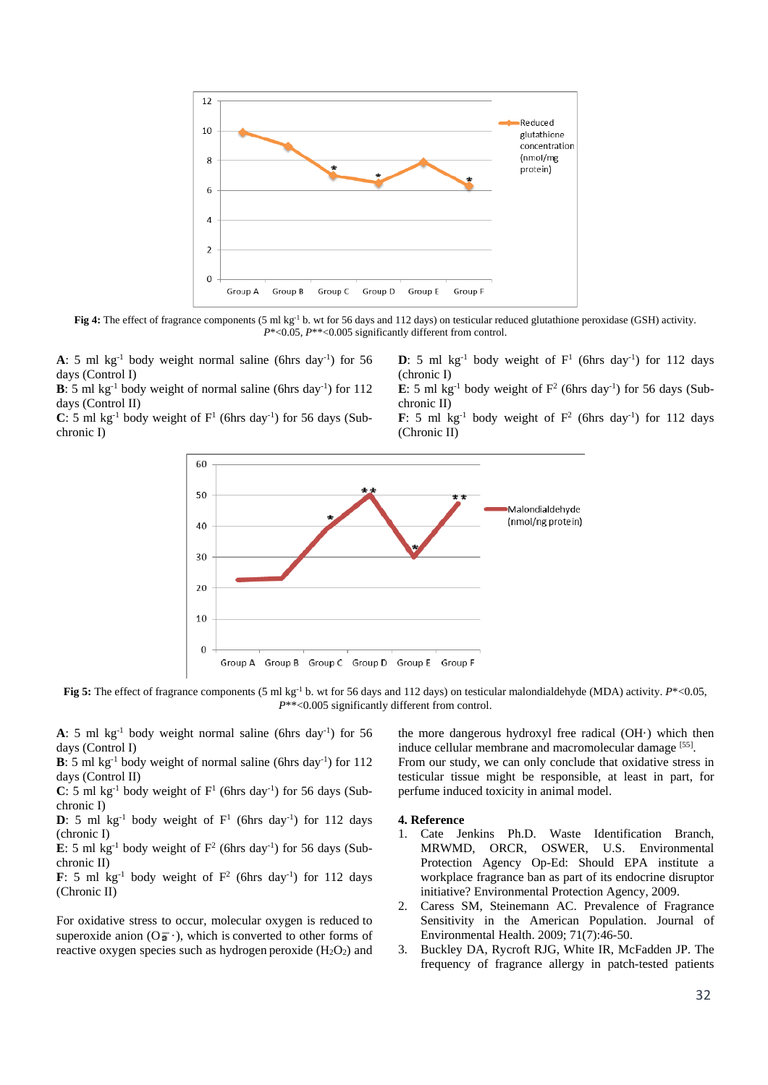

Fig 4: The effect of fragrance components (5 ml kg<sup>-1</sup> b. wt for 56 days and 112 days) on testicular reduced glutathione peroxidase (GSH) activity. *P*\*<0.05, *P*\*\*<0.005 significantly different from control.

**A**: 5 ml kg<sup>-1</sup> body weight normal saline (6hrs day<sup>-1</sup>) for 56 days (Control I)

**B**: 5 ml kg<sup>-1</sup> body weight of normal saline (6hrs day<sup>-1</sup>) for  $112$ days (Control II)

 $C: 5$  ml kg<sup>-1</sup> body weight of  $F<sup>1</sup>$  (6hrs day<sup>-1</sup>) for 56 days (Subchronic I)

**D**: 5 ml  $kg^{-1}$  body weight of  $F^1$  (6hrs day<sup>-1</sup>) for 112 days (chronic I)

**E**: 5 ml kg<sup>-1</sup> body weight of  $F^2$  (6hrs day<sup>-1</sup>) for 56 days (Subchronic II)

**F**: 5 ml kg<sup>-1</sup> body weight of  $F^2$  (6hrs day<sup>-1</sup>) for 112 days (Chronic II)



**Fig 5:** The effect of fragrance components (5 ml kg<sup>-1</sup> b. wt for 56 days and 112 days) on testicular malondialdehyde (MDA) activity.  $P^* < 0.05$ , *P*\*\*<0.005 significantly different from control.

**A**: 5 ml kg<sup>-1</sup> body weight normal saline (6hrs day<sup>-1</sup>) for 56 days (Control I)

**B**: 5 ml kg<sup>-1</sup> body weight of normal saline (6hrs day<sup>-1</sup>) for  $112$ days (Control II)

 $C: 5$  ml kg<sup>-1</sup> body weight of  $F<sup>1</sup>$  (6hrs day<sup>-1</sup>) for 56 days (Subchronic I)

**D**: 5 ml kg<sup>-1</sup> body weight of  $F<sup>1</sup>$  (6hrs day<sup>-1</sup>) for 112 days (chronic I)

**E**: 5 ml kg<sup>-1</sup> body weight of  $F^2$  (6hrs day<sup>-1</sup>) for 56 days (Subchronic II)

**F**: 5 ml kg<sup>-1</sup> body weight of  $F^2$  (6hrs day<sup>-1</sup>) for 112 days (Chronic II)

For oxidative stress to occur, molecular oxygen is reduced to superoxide anion  $(O_2^-)$ , which is converted to other forms of reactive oxygen species such as hydrogen peroxide  $(H_2O_2)$  and the more dangerous hydroxyl free radical (OH·) which then induce cellular membrane and macromolecular damage [55].

From our study, we can only conclude that oxidative stress in testicular tissue might be responsible, at least in part, for perfume induced toxicity in animal model.

#### **4. Reference**

- 1. Cate Jenkins Ph.D. Waste Identification Branch, MRWMD, ORCR, OSWER, U.S. Environmental Protection Agency Op-Ed: Should EPA institute a workplace fragrance ban as part of its endocrine disruptor initiative? Environmental Protection Agency, 2009.
- 2. Caress SM, Steinemann AC. Prevalence of Fragrance Sensitivity in the American Population. Journal of Environmental Health. 2009; 71(7):46-50.
- 3. Buckley DA, Rycroft RJG, White IR, McFadden JP. The frequency of fragrance allergy in patch-tested patients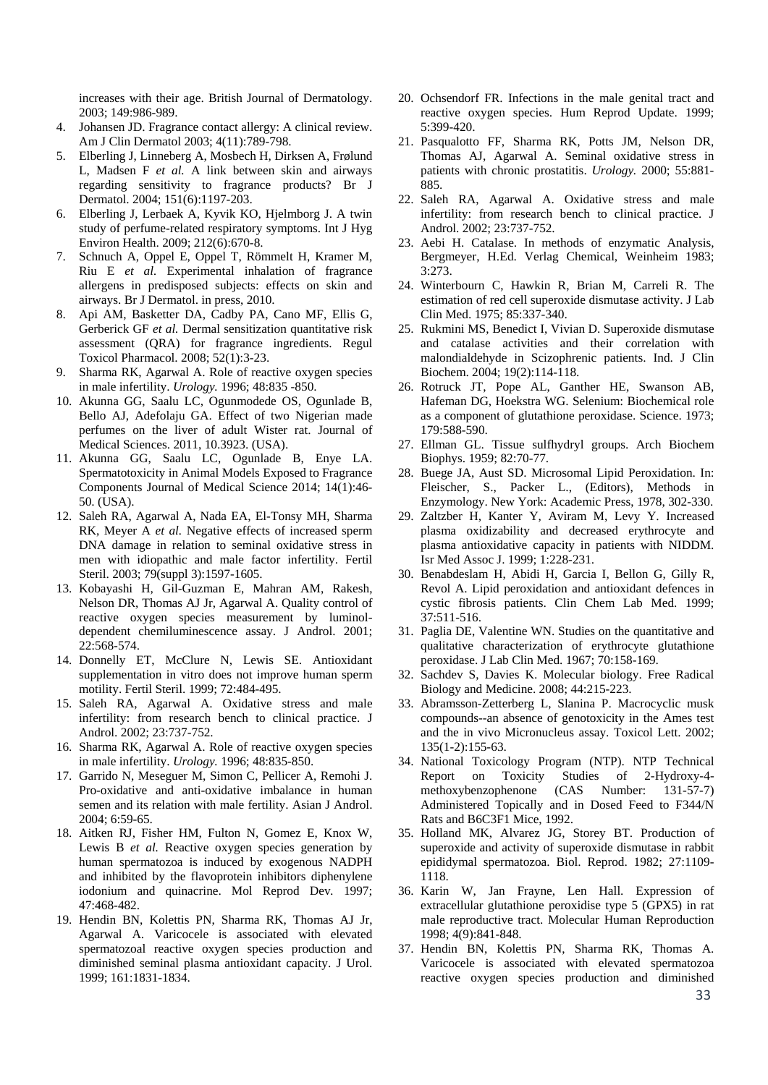increases with their age. British Journal of Dermatology. 2003; 149:986-989.

- 4. Johansen JD. Fragrance contact allergy: A clinical review. Am J Clin Dermatol 2003; 4(11):789-798.
- 5. Elberling J, Linneberg A, Mosbech H, Dirksen A, Frølund L, Madsen F *et al.* A link between skin and airways regarding sensitivity to fragrance products? Br J Dermatol. 2004; 151(6):1197-203.
- 6. Elberling J, Lerbaek A, Kyvik KO, Hjelmborg J. A twin study of perfume-related respiratory symptoms. Int J Hyg Environ Health. 2009; 212(6):670-8.
- 7. Schnuch A, Oppel E, Oppel T, Römmelt H, Kramer M, Riu E *et al.* Experimental inhalation of fragrance allergens in predisposed subjects: effects on skin and airways. Br J Dermatol. in press, 2010.
- 8. Api AM, Basketter DA, Cadby PA, Cano MF, Ellis G, Gerberick GF *et al.* Dermal sensitization quantitative risk assessment (QRA) for fragrance ingredients. Regul Toxicol Pharmacol. 2008; 52(1):3-23.
- 9. Sharma RK, Agarwal A. Role of reactive oxygen species in male infertility. *Urology.* 1996; 48:835 -850.
- 10. Akunna GG, Saalu LC, Ogunmodede OS, Ogunlade B, Bello AJ, Adefolaju GA. Effect of two Nigerian made perfumes on the liver of adult Wister rat. Journal of Medical Sciences. 2011, 10.3923. (USA).
- 11. Akunna GG, Saalu LC, Ogunlade B, Enye LA. Spermatotoxicity in Animal Models Exposed to Fragrance Components Journal of Medical Science 2014; 14(1):46- 50. (USA).
- 12. Saleh RA, Agarwal A, Nada EA, El-Tonsy MH, Sharma RK, Meyer A *et al.* Negative effects of increased sperm DNA damage in relation to seminal oxidative stress in men with idiopathic and male factor infertility. Fertil Steril. 2003; 79(suppl 3):1597-1605.
- 13. Kobayashi H, Gil-Guzman E, Mahran AM, Rakesh, Nelson DR, Thomas AJ Jr, Agarwal A. Quality control of reactive oxygen species measurement by luminoldependent chemiluminescence assay. J Androl. 2001; 22:568-574.
- 14. Donnelly ET, McClure N, Lewis SE. Antioxidant supplementation in vitro does not improve human sperm motility. Fertil Steril. 1999; 72:484-495.
- 15. Saleh RA, Agarwal A. Oxidative stress and male infertility: from research bench to clinical practice. J Androl. 2002; 23:737-752.
- 16. Sharma RK, Agarwal A. Role of reactive oxygen species in male infertility. *Urology.* 1996; 48:835-850.
- 17. Garrido N, Meseguer M, Simon C, Pellicer A, Remohi J. Pro-oxidative and anti-oxidative imbalance in human semen and its relation with male fertility. Asian J Androl. 2004; 6:59-65.
- 18. Aitken RJ, Fisher HM, Fulton N, Gomez E, Knox W, Lewis B et al. Reactive oxygen species generation by human spermatozoa is induced by exogenous NADPH and inhibited by the flavoprotein inhibitors diphenylene iodonium and quinacrine. Mol Reprod Dev*.* 1997; 47:468-482.
- 19. Hendin BN, Kolettis PN, Sharma RK, Thomas AJ Jr, Agarwal A. Varicocele is associated with elevated spermatozoal reactive oxygen species production and diminished seminal plasma antioxidant capacity. J Urol. 1999; 161:1831-1834.
- 20. Ochsendorf FR. Infections in the male genital tract and reactive oxygen species. Hum Reprod Update. 1999; 5:399-420.
- 21. Pasqualotto FF, Sharma RK, Potts JM, Nelson DR, Thomas AJ, Agarwal A. Seminal oxidative stress in patients with chronic prostatitis. *Urology.* 2000; 55:881- 885.
- 22. Saleh RA, Agarwal A. Oxidative stress and male infertility: from research bench to clinical practice. J Androl. 2002; 23:737-752.
- 23. Aebi H. Catalase. In methods of enzymatic Analysis, Bergmeyer, H.Ed. Verlag Chemical, Weinheim 1983; 3:273.
- 24. Winterbourn C, Hawkin R, Brian M, Carreli R. The estimation of red cell superoxide dismutase activity. J Lab Clin Med. 1975; 85:337-340.
- 25. Rukmini MS, Benedict I, Vivian D. Superoxide dismutase and catalase activities and their correlation with malondialdehyde in Scizophrenic patients. Ind. J Clin Biochem. 2004; 19(2):114-118.
- 26. Rotruck JT, Pope AL, Ganther HE, Swanson AB, Hafeman DG, Hoekstra WG. Selenium: Biochemical role as a component of glutathione peroxidase. Science. 1973; 179:588-590.
- 27. Ellman GL. Tissue sulfhydryl groups. Arch Biochem Biophys. 1959; 82:70-77.
- 28. Buege JA, Aust SD. Microsomal Lipid Peroxidation. In: Fleischer, S., Packer L., (Editors), Methods in Enzymology. New York: Academic Press, 1978, 302-330.
- 29. Zaltzber H, Kanter Y, Aviram M, Levy Y. Increased plasma oxidizability and decreased erythrocyte and plasma antioxidative capacity in patients with NIDDM. Isr Med Assoc J. 1999; 1:228-231.
- 30. Benabdeslam H, Abidi H, Garcia I, Bellon G, Gilly R, Revol A. Lipid peroxidation and antioxidant defences in cystic fibrosis patients. Clin Chem Lab Med. 1999; 37:511-516.
- 31. Paglia DE, Valentine WN. Studies on the quantitative and qualitative characterization of erythrocyte glutathione peroxidase. J Lab Clin Med. 1967; 70:158-169.
- 32. Sachdev S, Davies K. Molecular biology. Free Radical Biology and Medicine. 2008; 44:215-223.
- 33. Abramsson-Zetterberg L, Slanina P. Macrocyclic musk compounds--an absence of genotoxicity in the Ames test and the in vivo Micronucleus assay. Toxicol Lett. 2002; 135(1-2):155-63.
- 34. National Toxicology Program (NTP). NTP Technical Report on Toxicity Studies of 2-Hydroxy-4 methoxybenzophenone (CAS Number: 131-57-7) Administered Topically and in Dosed Feed to F344/N Rats and B6C3F1 Mice, 1992.
- 35. Holland MK, Alvarez JG, Storey BT. Production of superoxide and activity of superoxide dismutase in rabbit epididymal spermatozoa. Biol. Reprod. 1982; 27:1109- 1118.
- 36. Karin W, Jan Frayne, Len Hall. Expression of extracellular glutathione peroxidise type 5 (GPX5) in rat male reproductive tract. Molecular Human Reproduction 1998; 4(9):841-848.
- 37. Hendin BN, Kolettis PN, Sharma RK, Thomas A. Varicocele is associated with elevated spermatozoa reactive oxygen species production and diminished